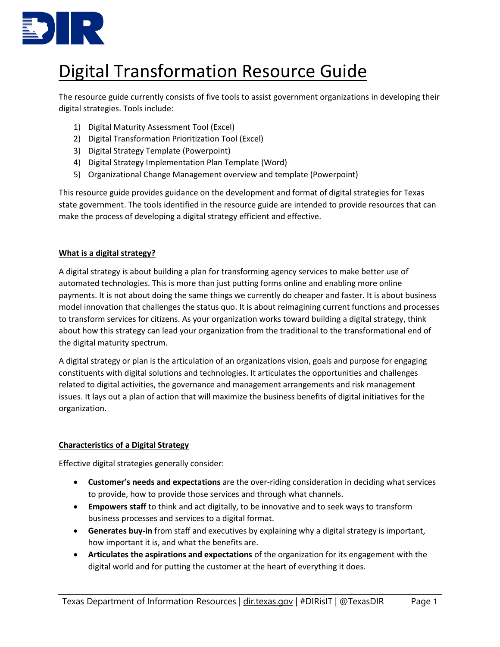

# Digital Transformation Resource Guide

The resource guide currently consists of five tools to assist government organizations in developing their digital strategies. Tools include:

- 1) Digital Maturity Assessment Tool (Excel)
- 2) Digital Transformation Prioritization Tool (Excel)
- 3) Digital Strategy Template (Powerpoint)
- 4) Digital Strategy Implementation Plan Template (Word)
- 5) Organizational Change Management overview and template (Powerpoint)

This resource guide provides guidance on the development and format of digital strategies for Texas state government. The tools identified in the resource guide are intended to provide resources that can make the process of developing a digital strategy efficient and effective.

## **What is a digital strategy?**

A digital strategy is about building a plan for transforming agency services to make better use of automated technologies. This is more than just putting forms online and enabling more online payments. It is not about doing the same things we currently do cheaper and faster. It is about business model innovation that challenges the status quo. It is about reimagining current functions and processes to transform services for citizens. As your organization works toward building a digital strategy, think about how this strategy can lead your organization from the traditional to the transformational end of the digital maturity spectrum.

A digital strategy or plan is the articulation of an organizations vision, goals and purpose for engaging constituents with digital solutions and technologies. It articulates the opportunities and challenges related to digital activities, the governance and management arrangements and risk management issues. It lays out a plan of action that will maximize the business benefits of digital initiatives for the organization.

## **Characteristics of a Digital Strategy**

Effective digital strategies generally consider:

- **Customer's needs and expectations** are the over-riding consideration in deciding what services to provide, how to provide those services and through what channels.
- **Empowers staff** to think and act digitally, to be innovative and to seek ways to transform business processes and services to a digital format.
- **Generates buy-in** from staff and executives by explaining why a digital strategy is important, how important it is, and what the benefits are.
- **Articulates the aspirations and expectations** of the organization for its engagement with the digital world and for putting the customer at the heart of everything it does.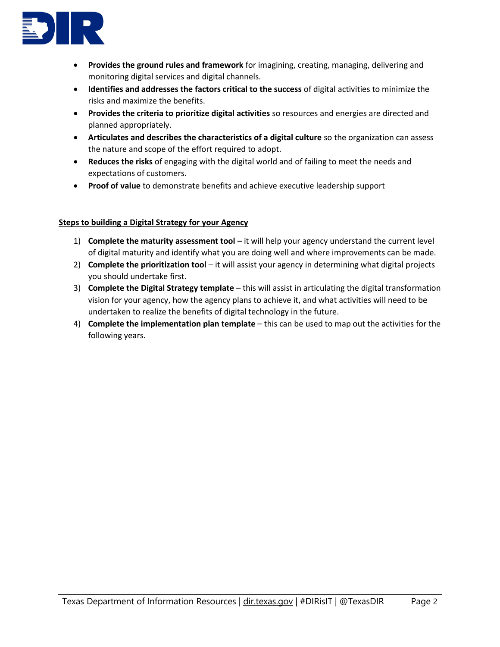

- **Provides the ground rules and framework** for imagining, creating, managing, delivering and monitoring digital services and digital channels.
- **Identifies and addresses the factors critical to the success** of digital activities to minimize the risks and maximize the benefits.
- **Provides the criteria to prioritize digital activities** so resources and energies are directed and planned appropriately.
- **Articulates and describes the characteristics of a digital culture** so the organization can assess the nature and scope of the effort required to adopt.
- **Reduces the risks** of engaging with the digital world and of failing to meet the needs and expectations of customers.
- **Proof of value** to demonstrate benefits and achieve executive leadership support

### **Steps to building a Digital Strategy for your Agency**

- 1) **Complete the maturity assessment tool –** it will help your agency understand the current level of digital maturity and identify what you are doing well and where improvements can be made.
- 2) **Complete the prioritization tool** it will assist your agency in determining what digital projects you should undertake first.
- 3) **Complete the Digital Strategy template** this will assist in articulating the digital transformation vision for your agency, how the agency plans to achieve it, and what activities will need to be undertaken to realize the benefits of digital technology in the future.
- 4) **Complete the implementation plan template** this can be used to map out the activities for the following years.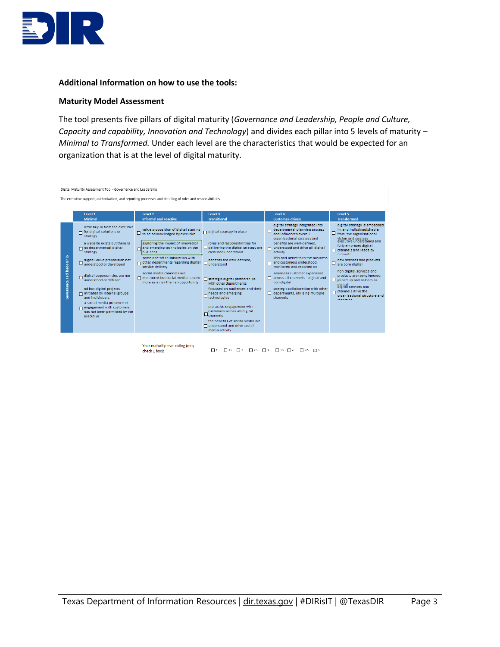

#### **Additional Information on how to use the tools:**

#### **Maturity Model Assessment**

The tool presents five pillars of digital maturity (*Governance and Leadership, People and Culture, Capacity and capability, Innovation and Technology*) and divides each pillar into 5 levels of maturity – *Minimal to Transformed.* Under each level are the characteristics that would be expected for an organization that is at the level of digital maturity.

| The executive support, authorization, and reporting processes and detailing of roles and responsibilities.<br>Level 1<br>Level <sub>2</sub><br>Level 3<br>Level 4<br>Minimal<br><b>Informal and reactive</b><br><b>Transitional</b><br><b>Customer-driven</b>                                                                                                                                                                                                                                                                                                                                                                                                                                                                                                                                                                                                                                                                                                                                                                                                                                                                                                                                                                                                                                                                                                                                                                                                                                                                                                                                                                                                                                                                                                                                                        |                                                                                                                                                                                                                                                                                                                                                                                                                                                                                                                      |
|----------------------------------------------------------------------------------------------------------------------------------------------------------------------------------------------------------------------------------------------------------------------------------------------------------------------------------------------------------------------------------------------------------------------------------------------------------------------------------------------------------------------------------------------------------------------------------------------------------------------------------------------------------------------------------------------------------------------------------------------------------------------------------------------------------------------------------------------------------------------------------------------------------------------------------------------------------------------------------------------------------------------------------------------------------------------------------------------------------------------------------------------------------------------------------------------------------------------------------------------------------------------------------------------------------------------------------------------------------------------------------------------------------------------------------------------------------------------------------------------------------------------------------------------------------------------------------------------------------------------------------------------------------------------------------------------------------------------------------------------------------------------------------------------------------------------|----------------------------------------------------------------------------------------------------------------------------------------------------------------------------------------------------------------------------------------------------------------------------------------------------------------------------------------------------------------------------------------------------------------------------------------------------------------------------------------------------------------------|
|                                                                                                                                                                                                                                                                                                                                                                                                                                                                                                                                                                                                                                                                                                                                                                                                                                                                                                                                                                                                                                                                                                                                                                                                                                                                                                                                                                                                                                                                                                                                                                                                                                                                                                                                                                                                                      |                                                                                                                                                                                                                                                                                                                                                                                                                                                                                                                      |
|                                                                                                                                                                                                                                                                                                                                                                                                                                                                                                                                                                                                                                                                                                                                                                                                                                                                                                                                                                                                                                                                                                                                                                                                                                                                                                                                                                                                                                                                                                                                                                                                                                                                                                                                                                                                                      | Level 5<br><b>Transformed</b>                                                                                                                                                                                                                                                                                                                                                                                                                                                                                        |
| digital strategy integrated into<br>little buy-in from the executive<br>value proposition of digital starting<br>departmental planning process<br>$\Box$ digital strategy in place<br>for digital solutions or<br>$\Box$ to be acknowledged by executive<br>and influences overall<br>strategy<br>organisational strategy and<br>exploring the impact of innovation<br>roles and responsibilities for<br>benefits are well-defined.<br>a website exists but there is.<br>$\Box$ delivering the digital strategy are<br>and emerging technologies on the<br>no departmental digital<br>understood and drive all digital<br>clear and understood<br>business<br>activity<br>strategy<br>leadership<br>some one-off collaboration with<br>digital value proposition not<br>benefits are well-defined,<br>other departments regarding digital<br>and customers understood,<br>understood or developed<br>understood<br>service delivery<br>monitored and reported on<br>social media channels are<br>seamless customer experience<br><b>Governance and</b><br>digital opportunities are not<br>$\Box$ monitored but social media is seen<br>across all channels - digital and<br>□ strategic digital partnerships<br>understood or defined<br>more as a risk than an opportunity<br>non-digital<br>with other departments<br>focussed on audiences and their<br>ad hoc digital projects<br>departments, utilising multiple<br>nitiated by internal groups<br>needs and emerging<br>technologies<br>and individuals<br>channels<br>a social media presence or<br>pro-active engagement with<br>$\Box$ engagement with customers<br>customers across all digital<br>has not been permitted by the<br>$\sqcup$ channels<br>executive<br>the benefits of social media are<br>□ understood and drive social<br>media activity | digital strategy is ember<br>in, and indistinguishabl<br>from, the organisational<br>vision and strategy<br>executive ungerstangs a<br>fully embraces digital<br>channels and leads by<br><b>Avanced</b><br>KPIs and benefits to the business<br>new services and produ<br>are born digital<br>non-digital services and<br>products are reengineer<br>ioined up and re-born as<br>digital<br>digital services and<br>strategic collaboration with other<br>channels drive the<br>organisational structure<br>manelas |

Your maturity level rating (only check 1 box):

 $\Box$ 1  $\Box$ 1.5  $\Box$ 2  $\Box$ 25  $\Box$ 3  $\Box$ 35  $\Box$ 4  $\Box$ 45  $\Box$ 5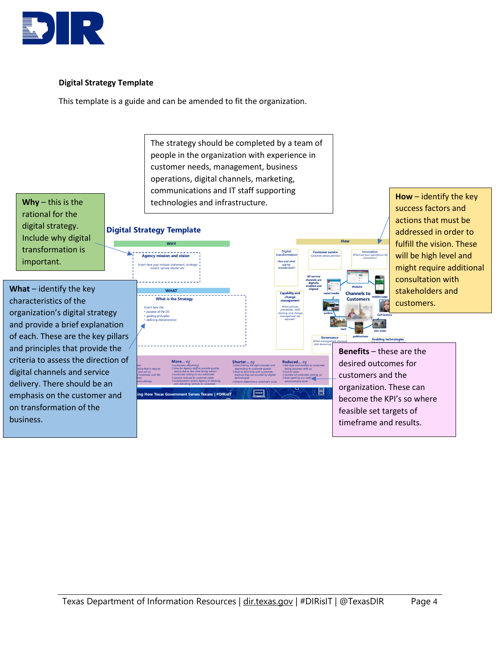

## **Digital Strategy Template**

This template is a guide and can be amended to fit the organization.

rational for the digital strategy. Include why digital transformation is important.

 emphasis on the customer and  delivery. There should be an  criteria to assess the direction of **What** – identify the key characteristics of the organization's digital strategy and provide a brief explanation of each. These are the key pillars and principles that provide the digital channels and service on transformation of the business.

people in the organization with experience in customer needs, management, business operations, digital channels, marketing, communications and IT staff supporting **Why** – this is the the technologies and infrastructure. **Digital Strategy Template**   $- - - - - -$  ow and w<del>l</del><br>will be<br>ransforme  **WHAT 11222 1222 1223 1224 1225 1226 1227 1227 1227 1227 1227 1227 1227 1227 1227 1227 1227 1227 1227 1227 1227 1227 1227 1227 1227 1227 1227 1227 1227 1227 1227 122 Custom** purpose of the DS n pose of the i<br>iiding princip<br>efining charax  **M**  ng How Texas Government Serves Texans | #DIRislT  $\overline{|\cdots}$ 

The strategy should be completed by a team of

**How** – identify the key success factors and actions that must be addressed in order to fulfill the vision. These will be high level and might require additional consultation with stakeholders and customers.

**Benefits** – these are the desired outcomes for customers and the organization. These can become the KPI's so where feasible set targets of timeframe and results.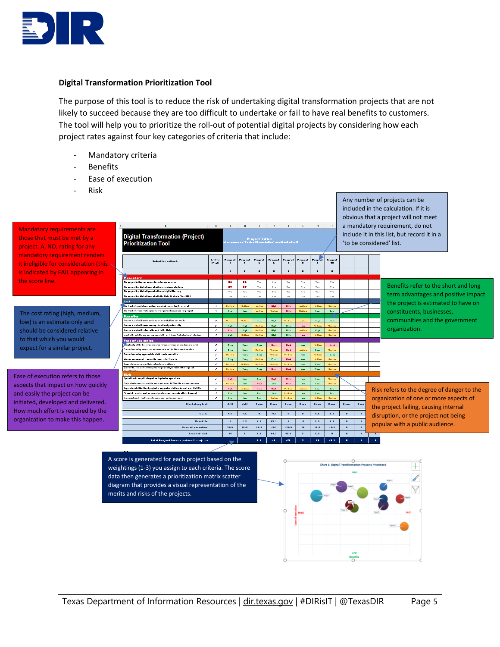

#### **Digital Transformation Prioritization Tool**

The purpose of this tool is to reduce the risk of undertaking digital transformation projects that are not likely to succeed because they are too difficult to undertake or fail to have real benefits to customers. The tool will help you to prioritize the roll-out of potential digital projects by considering how each project rates against four key categories of criteria that include:

- Mandatory criteria
- **Benefits**
- Ease of execution
- Risk

Mandatory requirements are those that must be met by a project. A, NO, rating for any mandatory requirement renders it ineligible for consideration (this  $\sqrt{ }$ is indicated by FAIL appearing in the score line.

The cost rating (high, medium, low) is an estimate only and should be considered relative to that which you would expect for a similar project.

Ease of execution refers to those aspects that impact on how quickly and easily the project can be initiated, developed and delivered. How much effort is required by the organization to make this happen.

| <b>Digital Transformation (Project)</b>                                           | $\mathbf{D}$            | <b>G</b><br>H<br><b>Project Titles</b><br>Penjaul Denneipling mockhook sheet! |                |            |                    |                         |                |                  |                                      | obvious that a project will not meet<br>a mandatory requirement, do not<br>include it in this list, but record it in a |       |                                            |  |
|-----------------------------------------------------------------------------------|-------------------------|-------------------------------------------------------------------------------|----------------|------------|--------------------|-------------------------|----------------|------------------|--------------------------------------|------------------------------------------------------------------------------------------------------------------------|-------|--------------------------------------------|--|
| <b>Prioritization Tool</b>                                                        |                         |                                                                               |                |            |                    |                         |                |                  |                                      | 'to be considered' list.                                                                                               |       |                                            |  |
| Selection oritoria                                                                | Critorio<br>Moight      | Prajral                                                                       | Prairel        | Project    | Project            | Project                 | Prajrol        | $\sim$           | Penicul                              |                                                                                                                        |       |                                            |  |
|                                                                                   |                         | п                                                                             | п              | ٠          | п                  | п                       | п              | ٠                | $\blacksquare$                       |                                                                                                                        |       |                                            |  |
| riandatur:                                                                        |                         |                                                                               |                |            |                    |                         |                |                  |                                      |                                                                                                                        |       |                                            |  |
| The peopel delivers a sea or leasufar and service                                 |                         | 80                                                                            | m÷.            | $4 - 4$    | $M_{\rm{max}}$     | Yra                     | $M_{\rm{max}}$ | $Y_{\text{max}}$ | 4.1                                  |                                                                                                                        |       |                                            |  |
| The perject has high alignment with one hosiness steategy                         |                         | 80                                                                            | 80             | 4.78       | $Y_{\text{max}}$   | $Y_{FB}$                | 4.78           | $Y_{FB}$         | 4.78                                 |                                                                                                                        |       | Benefits refer to the short and long       |  |
| The peopeal has high alignment with our Digital Steategy                          |                         | $Y_{FB}$                                                                      | 4.78           | Yrs        | $\gamma_{\tau\pi}$ | $Y_{FB}$                | $\forall$ r a  | $Y_{FB}$         | 4.1                                  |                                                                                                                        |       |                                            |  |
| The persical has high alignment with the State Steaterin Plan (SSP)               |                         | $Y_{FB}$                                                                      | 4.14           | Yrs        | $Y_{FB}$           | $Y_{FB}$                | 44.4           | $Y_{FB}$         | $V_{\rm PB}$                         |                                                                                                                        |       | term advantages and positive impact        |  |
| $_{\rm{coll}}$                                                                    |                         |                                                                               |                |            |                    |                         |                |                  |                                      |                                                                                                                        |       |                                            |  |
| he leart of availateaucaditure crusiced to deartes the araical                    | -4                      | Hedison                                                                       | <b>Hedison</b> | ardian     | High               | High                    | <i>artisa</i>  | Hedison          | Hedian                               |                                                                                                                        |       | the project is estimated to have on        |  |
| The least of censeccal concoditors censiond to maintain the penjeut               | $\overline{\mathbf{1}}$ | <b>Leur</b>                                                                   | Lew.           | andless.   | Helian             | <b>Blake</b>            | Helisa         | <b>Less</b>      | <b>Lew</b>                           |                                                                                                                        |       | constituents, businesses,                  |  |
| Benefitr                                                                          |                         |                                                                               |                |            |                    |                         |                |                  |                                      |                                                                                                                        |       |                                            |  |
| Degeee la which it weeks aantaween' enpentations and needs                        | $\mathcal{I}$           | Hedison                                                                       | Hedison        | High       | High               | Hedisa                  | ardian         | High             | <b>High</b>                          |                                                                                                                        |       | communities and the government             |  |
| Degree to which it improves arguainational productivity                           | $\mathcal{F}$           | <b>High</b>                                                                   | High           | Hedison    | High               | <b>Risk</b>             | <b>Test</b>    | Hediau           | <b>Median</b>                        |                                                                                                                        |       |                                            |  |
| .<br>Degeer to which it endoors the sout to the State                             | z                       | <b>Leu</b>                                                                    | High           | Hedison    | High               | High                    | ardian         | High             | <b>Hedison</b>                       |                                                                                                                        |       | organization.                              |  |
| krari af hrarfil in ser syreng sed elsff - writ hringfasliafselianfreiralian,     | ×                       | <b>Right</b>                                                                  | Heliau         | Hedison    | High               | Right                   | <b>Test</b>    | Hedison          | Hedison                              |                                                                                                                        |       |                                            |  |
| <b>Euro of oxocution</b>                                                          |                         |                                                                               |                |            |                    |                         |                |                  |                                      |                                                                                                                        |       |                                            |  |
| aptenity of the hasiness peasess correspineering or acculing cequired.            | $\mathcal{I}$           | East                                                                          | East           | East       | Hard               | Hand                    | <b>Page</b>    | Hedison          | <b>Hand</b>                          |                                                                                                                        |       |                                            |  |
| Easy of crooring belgel and recovered to reality the transformation               | x                       | East                                                                          | East           | Hedison    | Hedison            | <b>Hand</b>             | ardian         | East             | <b>Median</b>                        |                                                                                                                        |       |                                            |  |
| Ease of censeing appeapeiate staff teach and skills                               | ,                       | Hedian                                                                        | East           | East       | Heliau             | Hedison                 | <b>PARK</b>    | Hedison          | East                                 |                                                                                                                        |       |                                            |  |
| Change management considerable connect attack bandin                              | ×                       | Easy.                                                                         | Easy           | Hedison    | East               | <b>Hand</b>             | <b>PARTS</b>   | Hedison          | <b>Hedison</b>                       |                                                                                                                        |       |                                            |  |
| inggarling agalran and infrantrusture eradinens                                   | $\boldsymbol{z}$        | <b>Hedison</b>                                                                | Hedison        | Hedian     | Helisa             | Hedison                 | <b>TANK</b>    | East.            | Hediam                               |                                                                                                                        |       |                                            |  |
| Cane of dealing with interdependent penjento, oecoloe offerings and<br>سنلمسلمللس | z                       | Helies                                                                        | Easy           | East       | Hand               | Hand                    | <b>PART</b>    | East             | <b>Hedison</b>                       |                                                                                                                        |       |                                            |  |
| Rick                                                                              |                         |                                                                               |                |            |                    |                         |                |                  |                                      |                                                                                                                        |       |                                            |  |
| Operational compatible impact on day for day operations.                          | z.                      | <b>High</b>                                                                   | <b>Lew</b>     | <b>Leu</b> | High               | High                    | <b>Test</b>    | <b>Leu</b>       | Hedison                              |                                                                                                                        |       |                                            |  |
| Prairel extenses : secretais exceptances, difficult la seasone concess            | <b>State</b>            | Helian                                                                        | <b>Last</b>    | High       | <b>Lew</b>         | Hick                    | <b>Test</b>    | <b>Law</b>       | Hediau                               |                                                                                                                        |       |                                            |  |
| Regulational - tibetibund peopeal in appopular, Failo or doesn't weet its KP to   | $\cdot$                 | <b>High</b>                                                                   | ordina         | High       | High               | Helica                  | ardian         | <b>Law</b>       | Les.                                 |                                                                                                                        |       | Risk refers to the degree of danger to the |  |
| Financial - napital und or operational expense experts attalled amount            | $\mathcal{F}$           | <b>Less</b>                                                                   | Leur.          | <b>Lew</b> | <b>Lew</b>         | Hedison                 | <b>Test</b>    | <b>Leur</b>      | <b>Lew</b>                           |                                                                                                                        |       |                                            |  |
| Organizational - rink to good goorreaseer and managround                          | -                       | <b>Leu</b>                                                                    | Leur.          | Leu-       | <b>Hedison</b>     | Hedison                 | <b>Test</b>    | Hedison          | <b>Median</b>                        |                                                                                                                        |       | organization of one or more aspects of     |  |
| <b>Handalong Ind</b>                                                              |                         | Fail                                                                          | <b>Fail</b>    | Pass       | Pass               | Pass                    | Pass           | Pass             | <b>Pass</b>                          | Pass.                                                                                                                  | Pass. | the project failing, causing internal      |  |
| $C_{n+1n}$                                                                        |                         | 1.5<br>1.5<br>$-1.5$<br>$\mathbf{H}$<br>п<br>1.5<br>1.5<br>٠<br>٠<br>п        |                |            |                    |                         |                |                  | disruption, or the project not being |                                                                                                                        |       |                                            |  |
| <b>Dearfill</b>                                                                   |                         | $\overline{\mathbf{z}}$                                                       | 7.5            | 4.5        | 13.5               | $\overline{\mathbf{z}}$ | $\mathcal{A}$  | 7.5              | 4.5                                  | ٠                                                                                                                      | ٠     |                                            |  |
| <b>Easy of carnelise</b>                                                          |                         | 11.5                                                                          | 15.5           | 11.5       | $-4.5$             | $-13.5$                 | $\blacksquare$ | 18.5             | $-1.5$                               | п                                                                                                                      | ×.    | popular with a public audience.            |  |
| Level of ciab                                                                     |                         | 11                                                                            | $\mathbf{z}$   | 1.5        | 11.5               | 12.5                    | э.             | 8.5              | п                                    | п<br>п                                                                                                                 | п.    |                                            |  |
| Total Penjeul Source - [malderefilosof] citi                                      |                         |                                                                               |                | 5.5        | ä.                 | $-20$                   | х              | 43.              | 48.81                                |                                                                                                                        | п     |                                            |  |

A score is generated for each project based on the weightings (1-3) you assign to each criteria. The score data then generates a prioritization matrix scatter diagram that provides a visual representation of the merits and risks of the projects.



Any number of projects can be included in the calculation. If it is